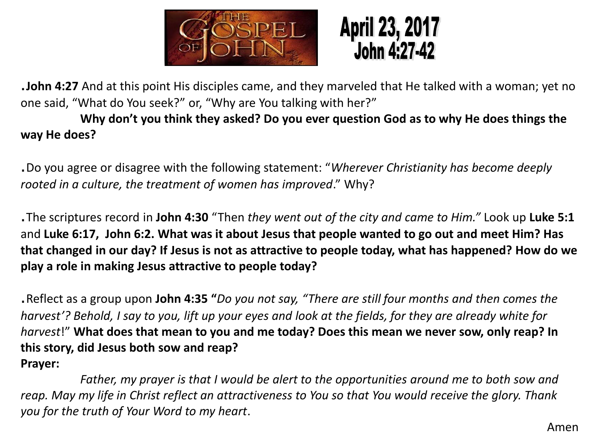

April 23, 2017<br>John 4:27-42

.**John 4:27** And at this point His disciples came, and they marveled that He talked with a woman; yet no one said, "What do You seek?" or, "Why are You talking with her?"

**Why don't you think they asked? Do you ever question God as to why He does things the way He does?**

.Do you agree or disagree with the following statement: "*Wherever Christianity has become deeply rooted in a culture, the treatment of women has improved*." Why?

.The scriptures record in **John 4:30** "Then *they went out of the city and came to Him."* Look up **Luke 5:1**  and **Luke 6:17, John 6:2. What was it about Jesus that people wanted to go out and meet Him? Has that changed in our day? If Jesus is not as attractive to people today, what has happened? How do we play a role in making Jesus attractive to people today?**

.Reflect as a group upon **John 4:35 "***Do you not say, "There are still four months and then comes the harvest'? Behold, I say to you, lift up your eyes and look at the fields, for they are already white for harvest*!" **What does that mean to you and me today? Does this mean we never sow, only reap? In this story, did Jesus both sow and reap? Prayer:**

*Father, my prayer is that I would be alert to the opportunities around me to both sow and reap. May my life in Christ reflect an attractiveness to You so that You would receive the glory. Thank you for the truth of Your Word to my heart*.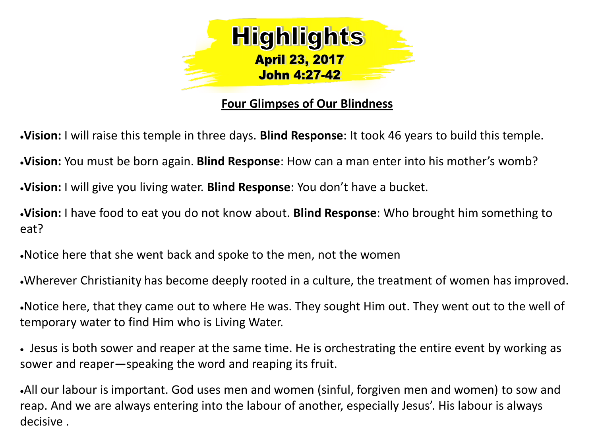

#### **Four Glimpses of Our Blindness**

•**Vision:** I will raise this temple in three days. **Blind Response**: It took 46 years to build this temple.

•**Vision:** You must be born again. **Blind Response**: How can a man enter into his mother's womb?

•**Vision:** I will give you living water. **Blind Response**: You don't have a bucket.

•**Vision:** I have food to eat you do not know about. **Blind Response**: Who brought him something to eat?

•Notice here that she went back and spoke to the men, not the women

•Wherever Christianity has become deeply rooted in a culture, the treatment of women has improved.

•Notice here, that they came out to where He was. They sought Him out. They went out to the well of temporary water to find Him who is Living Water.

• Jesus is both sower and reaper at the same time. He is orchestrating the entire event by working as sower and reaper—speaking the word and reaping its fruit.

•All our labour is important. God uses men and women (sinful, forgiven men and women) to sow and reap. And we are always entering into the labour of another, especially Jesus'. His labour is always decisive .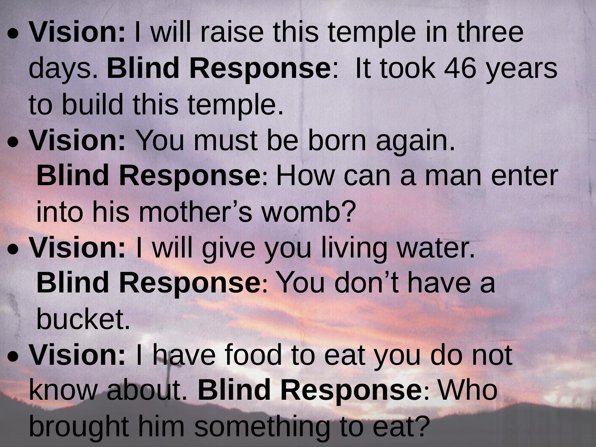• **Vision:** I will raise this temple in three days. **Blind Response**: It took 46 years to build this temple. • **Vision:** You must be born again. **Blind Response**: How can a man enter into his mother's womb? • **Vision:** I will give you living water. **Blind Response**: You don't have a bucket. • **Vision:** I have food to eat you do not know about. **Blind Response**: Who brought him something to eat?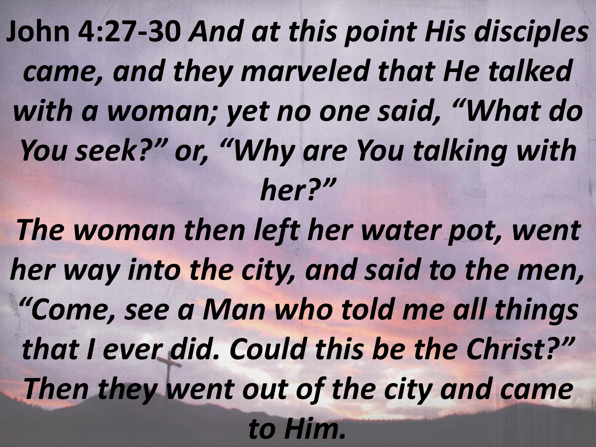**John 4:27-30** *And at this point His disciples came, and they marveled that He talked with a woman; yet no one said, "What do You seek?" or, "Why are You talking with her?" The woman then left her water pot, went her way into the city, and said to the men, "Come, see a Man who told me all things that I ever did. Could this be the Christ?" Then they went out of the city and came to Him.*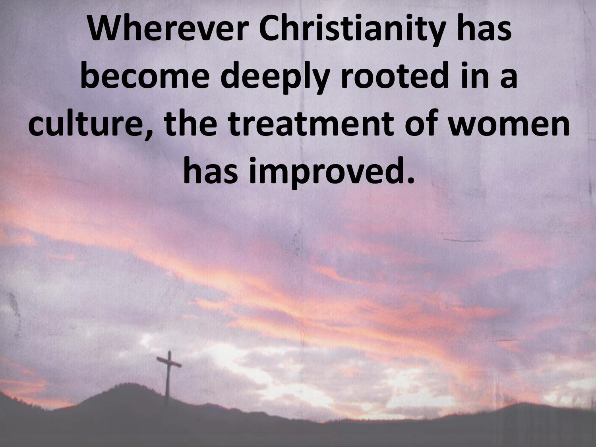**Wherever Christianity has become deeply rooted in a culture, the treatment of women has improved.**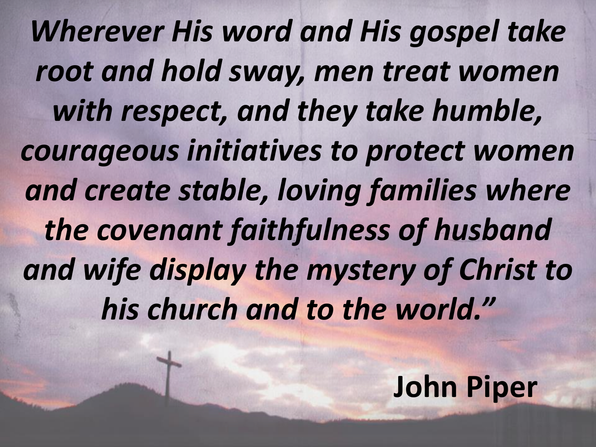*Wherever His word and His gospel take root and hold sway, men treat women with respect, and they take humble, courageous initiatives to protect women and create stable, loving families where the covenant faithfulness of husband and wife display the mystery of Christ to his church and to the world."*

#### **John Piper**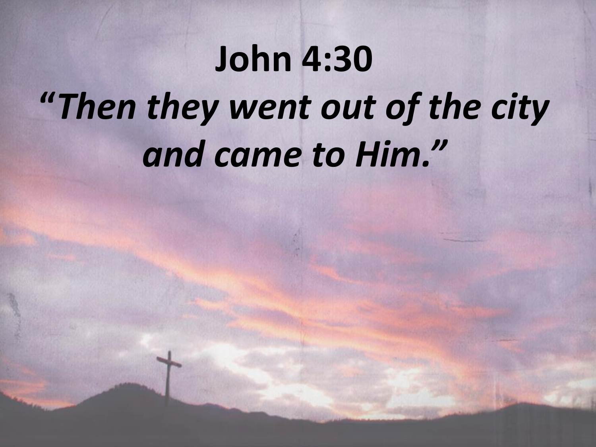# **John 4:30 "***Then they went out of the city and came to Him."*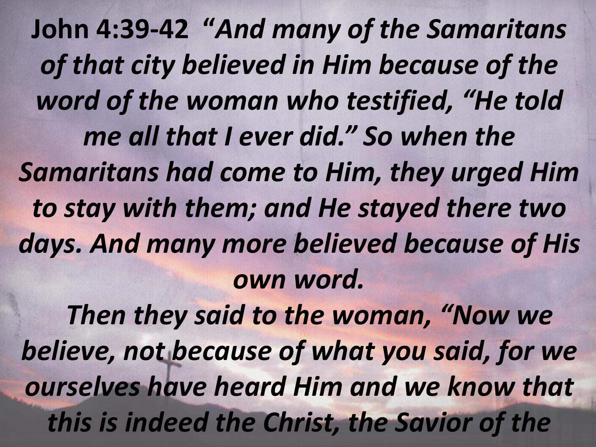**John 4:39-42 "***And many of the Samaritans of that city believed in Him because of the word of the woman who testified, "He told me all that I ever did." So when the Samaritans had come to Him, they urged Him to stay with them; and He stayed there two days. And many more believed because of His own word. Then they said to the woman, "Now we believe, not because of what you said, for we ourselves have heard Him and we know that this is indeed the Christ, the Savior of the*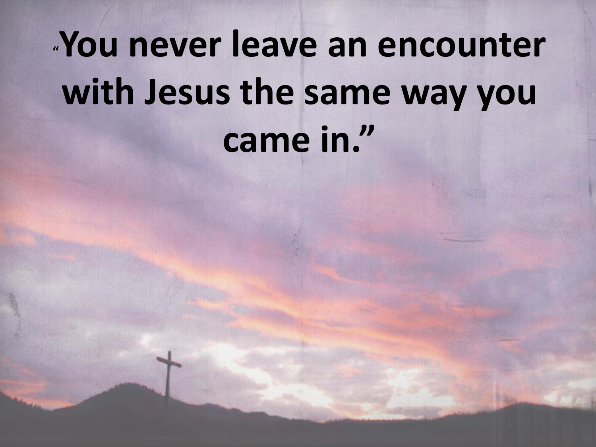## **"You never leave an encounter with Jesus the same way you came in."**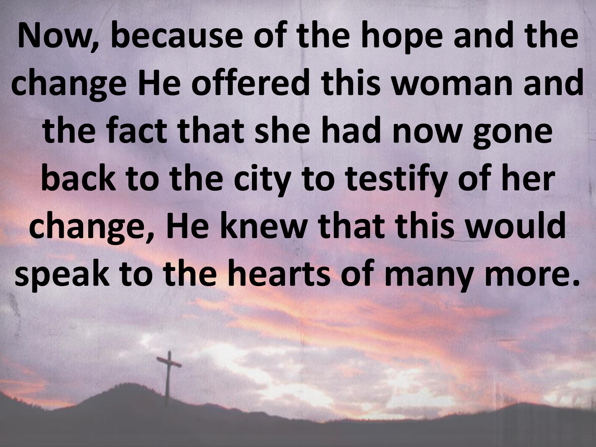**Now, because of the hope and the change He offered this woman and the fact that she had now gone back to the city to testify of her change, He knew that this would speak to the hearts of many more.**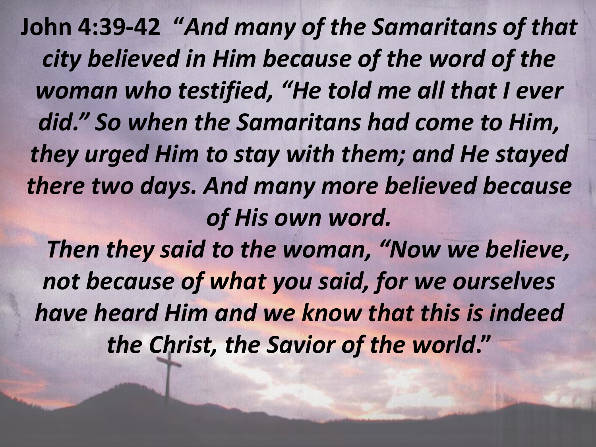**John 4:39-42 "***And many of the Samaritans of that city believed in Him because of the word of the woman who testified, "He told me all that I ever did." So when the Samaritans had come to Him, they urged Him to stay with them; and He stayed there two days. And many more believed because of His own word. Then they said to the woman, "Now we believe, not because of what you said, for we ourselves have heard Him and we know that this is indeed the Christ, the Savior of the world***."**